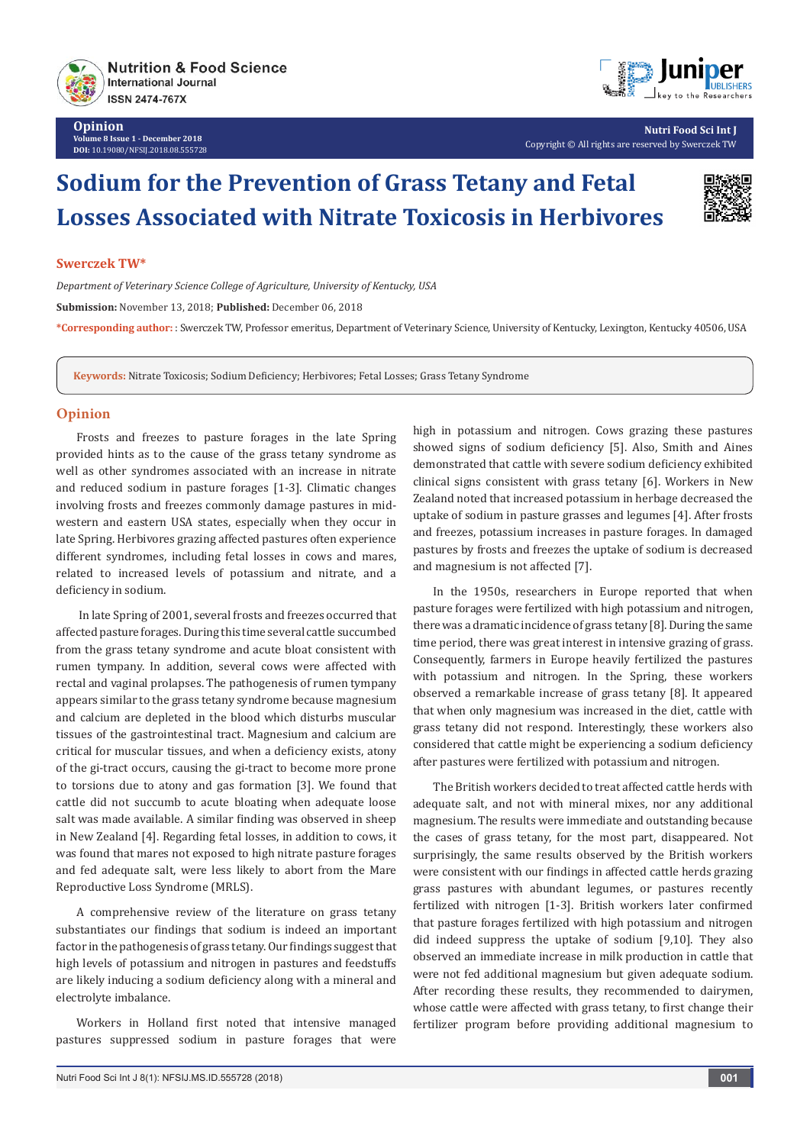

**Opinion Volume 8 Issue 1 - December 2018 DOI:** [10.19080/NFSIJ.2018.08.555728](http://dx.doi.org/10.19080/NFSIJ.2018.08.555728)



**Nutri Food Sci Int J** Copyright © All rights are reserved by Swerczek TW

# **Sodium for the Prevention of Grass Tetany and Fetal Losses Associated with Nitrate Toxicosis in Herbivores**



#### **Swerczek TW\***

*Department of Veterinary Science College of Agriculture, University of Kentucky, USA*

**Submission:** November 13, 2018; **Published:** December 06, 2018

**\*Corresponding author:** : Swerczek TW, Professor emeritus, Department of Veterinary Science, University of Kentucky, Lexington, Kentucky 40506, USA

**Keywords:** Nitrate Toxicosis; Sodium Deficiency; Herbivores; Fetal Losses; Grass Tetany Syndrome

### **Opinion**

Frosts and freezes to pasture forages in the late Spring provided hints as to the cause of the grass tetany syndrome as well as other syndromes associated with an increase in nitrate and reduced sodium in pasture forages [1-3]. Climatic changes involving frosts and freezes commonly damage pastures in midwestern and eastern USA states, especially when they occur in late Spring. Herbivores grazing affected pastures often experience different syndromes, including fetal losses in cows and mares, related to increased levels of potassium and nitrate, and a deficiency in sodium.

 In late Spring of 2001, several frosts and freezes occurred that affected pasture forages. During this time several cattle succumbed from the grass tetany syndrome and acute bloat consistent with rumen tympany. In addition, several cows were affected with rectal and vaginal prolapses. The pathogenesis of rumen tympany appears similar to the grass tetany syndrome because magnesium and calcium are depleted in the blood which disturbs muscular tissues of the gastrointestinal tract. Magnesium and calcium are critical for muscular tissues, and when a deficiency exists, atony of the gi-tract occurs, causing the gi-tract to become more prone to torsions due to atony and gas formation [3]. We found that cattle did not succumb to acute bloating when adequate loose salt was made available. A similar finding was observed in sheep in New Zealand [4]. Regarding fetal losses, in addition to cows, it was found that mares not exposed to high nitrate pasture forages and fed adequate salt, were less likely to abort from the Mare Reproductive Loss Syndrome (MRLS).

A comprehensive review of the literature on grass tetany substantiates our findings that sodium is indeed an important factor in the pathogenesis of grass tetany. Our findings suggest that high levels of potassium and nitrogen in pastures and feedstuffs are likely inducing a sodium deficiency along with a mineral and electrolyte imbalance.

Workers in Holland first noted that intensive managed pastures suppressed sodium in pasture forages that were

high in potassium and nitrogen. Cows grazing these pastures showed signs of sodium deficiency [5]. Also, Smith and Aines demonstrated that cattle with severe sodium deficiency exhibited clinical signs consistent with grass tetany [6]. Workers in New Zealand noted that increased potassium in herbage decreased the uptake of sodium in pasture grasses and legumes [4]. After frosts and freezes, potassium increases in pasture forages. In damaged pastures by frosts and freezes the uptake of sodium is decreased and magnesium is not affected [7].

In the 1950s, researchers in Europe reported that when pasture forages were fertilized with high potassium and nitrogen, there was a dramatic incidence of grass tetany [8]. During the same time period, there was great interest in intensive grazing of grass. Consequently, farmers in Europe heavily fertilized the pastures with potassium and nitrogen. In the Spring, these workers observed a remarkable increase of grass tetany [8]. It appeared that when only magnesium was increased in the diet, cattle with grass tetany did not respond. Interestingly, these workers also considered that cattle might be experiencing a sodium deficiency after pastures were fertilized with potassium and nitrogen.

The British workers decided to treat affected cattle herds with adequate salt, and not with mineral mixes, nor any additional magnesium. The results were immediate and outstanding because the cases of grass tetany, for the most part, disappeared. Not surprisingly, the same results observed by the British workers were consistent with our findings in affected cattle herds grazing grass pastures with abundant legumes, or pastures recently fertilized with nitrogen [1-3]. British workers later confirmed that pasture forages fertilized with high potassium and nitrogen did indeed suppress the uptake of sodium [9,10]. They also observed an immediate increase in milk production in cattle that were not fed additional magnesium but given adequate sodium. After recording these results, they recommended to dairymen, whose cattle were affected with grass tetany, to first change their fertilizer program before providing additional magnesium to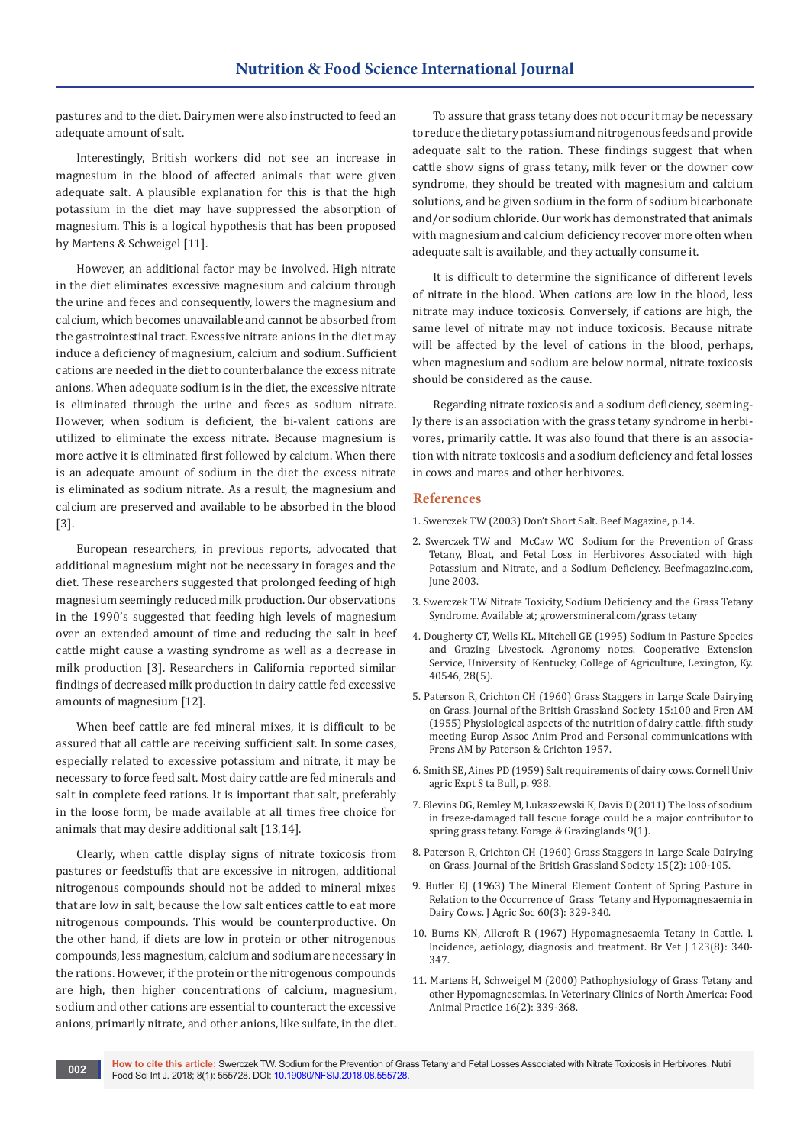pastures and to the diet. Dairymen were also instructed to feed an adequate amount of salt.

Interestingly, British workers did not see an increase in magnesium in the blood of affected animals that were given adequate salt. A plausible explanation for this is that the high potassium in the diet may have suppressed the absorption of magnesium. This is a logical hypothesis that has been proposed by Martens & Schweigel [11].

However, an additional factor may be involved. High nitrate in the diet eliminates excessive magnesium and calcium through the urine and feces and consequently, lowers the magnesium and calcium, which becomes unavailable and cannot be absorbed from the gastrointestinal tract. Excessive nitrate anions in the diet may induce a deficiency of magnesium, calcium and sodium. Sufficient cations are needed in the diet to counterbalance the excess nitrate anions. When adequate sodium is in the diet, the excessive nitrate is eliminated through the urine and feces as sodium nitrate. However, when sodium is deficient, the bi-valent cations are utilized to eliminate the excess nitrate. Because magnesium is more active it is eliminated first followed by calcium. When there is an adequate amount of sodium in the diet the excess nitrate is eliminated as sodium nitrate. As a result, the magnesium and calcium are preserved and available to be absorbed in the blood [3].

European researchers, in previous reports, advocated that additional magnesium might not be necessary in forages and the diet. These researchers suggested that prolonged feeding of high magnesium seemingly reduced milk production. Our observations in the 1990's suggested that feeding high levels of magnesium over an extended amount of time and reducing the salt in beef cattle might cause a wasting syndrome as well as a decrease in milk production [3]. Researchers in California reported similar findings of decreased milk production in dairy cattle fed excessive amounts of magnesium [12].

When beef cattle are fed mineral mixes, it is difficult to be assured that all cattle are receiving sufficient salt. In some cases, especially related to excessive potassium and nitrate, it may be necessary to force feed salt. Most dairy cattle are fed minerals and salt in complete feed rations. It is important that salt, preferably in the loose form, be made available at all times free choice for animals that may desire additional salt [13,14].

Clearly, when cattle display signs of nitrate toxicosis from pastures or feedstuffs that are excessive in nitrogen, additional nitrogenous compounds should not be added to mineral mixes that are low in salt, because the low salt entices cattle to eat more nitrogenous compounds. This would be counterproductive. On the other hand, if diets are low in protein or other nitrogenous compounds, less magnesium, calcium and sodium are necessary in the rations. However, if the protein or the nitrogenous compounds are high, then higher concentrations of calcium, magnesium, sodium and other cations are essential to counteract the excessive anions, primarily nitrate, and other anions, like sulfate, in the diet.

To assure that grass tetany does not occur it may be necessary to reduce the dietary potassium and nitrogenous feeds and provide adequate salt to the ration. These findings suggest that when cattle show signs of grass tetany, milk fever or the downer cow syndrome, they should be treated with magnesium and calcium solutions, and be given sodium in the form of sodium bicarbonate and/or sodium chloride. Our work has demonstrated that animals with magnesium and calcium deficiency recover more often when adequate salt is available, and they actually consume it.

It is difficult to determine the significance of different levels of nitrate in the blood. When cations are low in the blood, less nitrate may induce toxicosis. Conversely, if cations are high, the same level of nitrate may not induce toxicosis. Because nitrate will be affected by the level of cations in the blood, perhaps, when magnesium and sodium are below normal, nitrate toxicosis should be considered as the cause.

Regarding nitrate toxicosis and a sodium deficiency, seemingly there is an association with the grass tetany syndrome in herbivores, primarily cattle. It was also found that there is an association with nitrate toxicosis and a sodium deficiency and fetal losses in cows and mares and other herbivores.

### **References**

- 1. Swerczek TW (2003) Don't Short Salt. Beef Magazine, p.14.
- 2. Swerczek TW and McCaw WC Sodium for the Prevention of Grass Tetany, Bloat, and Fetal Loss in Herbivores Associated with high Potassium and Nitrate, and a Sodium Deficiency. Beefmagazine.com, June 2003.
- 3. Swerczek TW Nitrate Toxicity, Sodium Deficiency and the Grass Tetany Syndrome. Available at; growersmineral.com/grass tetany
- 4. Dougherty CT, Wells KL, Mitchell GE (1995) Sodium in Pasture Species and Grazing Livestock. Agronomy notes. Cooperative Extension Service, University of Kentucky, College of Agriculture, Lexington, Ky. 40546, 28(5).
- 5. Paterson R, Crichton CH (1960) Grass Staggers in Large Scale Dairying on Grass. Journal of the British Grassland Society 15:100 and Fren AM (1955) Physiological aspects of the nutrition of dairy cattle. fifth study meeting Europ Assoc Anim Prod and Personal communications with Frens AM by Paterson & Crichton 1957.
- 6. Smith SE, Aines PD (1959) Salt requirements of dairy cows. Cornell Univ agric Expt S ta Bull, p. 938.
- 7. [Blevins DG, Remley M, Lukaszewski K, Davis D \(2011\) The loss of sodium](https://dl.sciencesocieties.org/publications/fg/abstracts/9/1/2011-0221-02-RS)  [in freeze-damaged tall fescue forage could be a major contributor to](https://dl.sciencesocieties.org/publications/fg/abstracts/9/1/2011-0221-02-RS)  [spring grass tetany. Forage & Grazinglands 9\(1\).](https://dl.sciencesocieties.org/publications/fg/abstracts/9/1/2011-0221-02-RS)
- 8. [Paterson R, Crichton CH \(1960\) Grass Staggers in Large Scale Dairying](https://onlinelibrary.wiley.com/doi/pdf/10.1111/j.1365-2494.1960.tb00163.x)  [on Grass. Journal of the British Grassland Society 15\(2\): 100-105.](https://onlinelibrary.wiley.com/doi/pdf/10.1111/j.1365-2494.1960.tb00163.x)
- 9. Butler EJ (1963) The Mineral Element Content of Spring Pasture in Relation to the Occurrence of Grass Tetany and Hypomagnesaemia in Dairy Cows. J Agric Soc 60(3): 329-340.
- 10. [Burns KN, Allcroft R \(1967\) Hypomagnesaemia Tetany in Cattle. I.](https://www.ncbi.nlm.nih.gov/pubmed/5624388)  [Incidence, aetiology, diagnosis and treatment. Br Vet J 123\(8\): 340-](https://www.ncbi.nlm.nih.gov/pubmed/5624388) [347.](https://www.ncbi.nlm.nih.gov/pubmed/5624388)
- 11. [Martens H, Schweigel M \(2000\) Pathophysiology of Grass Tetany and](https://www.ncbi.nlm.nih.gov/pubmed/11022344)  [other Hypomagnesemias. In Veterinary Clinics of North America: Food](https://www.ncbi.nlm.nih.gov/pubmed/11022344)  [Animal Practice 16\(2\): 339-368.](https://www.ncbi.nlm.nih.gov/pubmed/11022344)